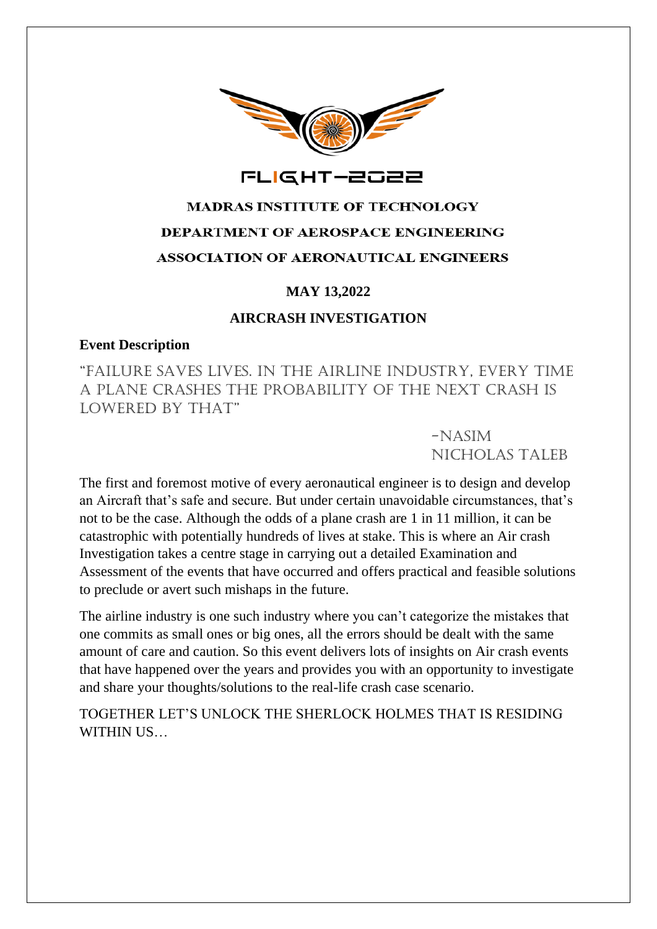

## FLIGHT-2022

# **MADRAS INSTITUTE OF TECHNOLOGY** DEPARTMENT OF AEROSPACE ENGINEERING **ASSOCIATION OF AERONAUTICAL ENGINEERS**

## **MAY 13,2022**

## **AIRCRASH INVESTIGATION**

#### **Event Description**

"Failure Saves Lives. In the Airline Industry, every time a plane crashes the probability of the next crash is LOWERED BY THAT"

> -Nasim Nicholas Taleb

The first and foremost motive of every aeronautical engineer is to design and develop an Aircraft that's safe and secure. But under certain unavoidable circumstances, that's not to be the case. Although the odds of a plane crash are 1 in 11 million, it can be catastrophic with potentially hundreds of lives at stake. This is where an Air crash Investigation takes a centre stage in carrying out a detailed Examination and Assessment of the events that have occurred and offers practical and feasible solutions to preclude or avert such mishaps in the future.

The airline industry is one such industry where you can't categorize the mistakes that one commits as small ones or big ones, all the errors should be dealt with the same amount of care and caution. So this event delivers lots of insights on Air crash events that have happened over the years and provides you with an opportunity to investigate and share your thoughts/solutions to the real-life crash case scenario.

TOGETHER LET'S UNLOCK THE SHERLOCK HOLMES THAT IS RESIDING WITHIN US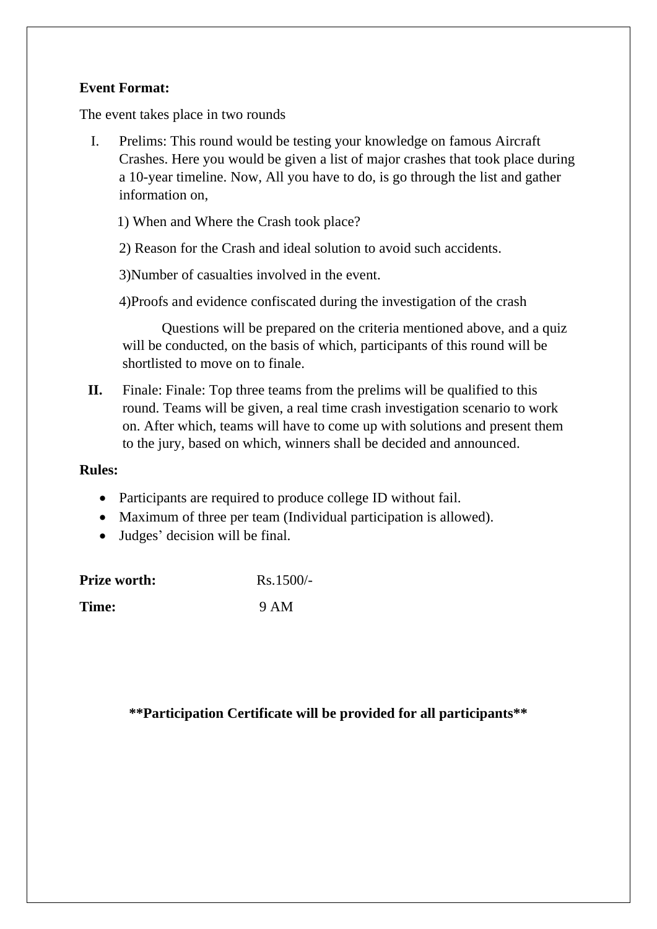## **Event Format:**

The event takes place in two rounds

I. Prelims: This round would be testing your knowledge on famous Aircraft Crashes. Here you would be given a list of major crashes that took place during a 10-year timeline. Now, All you have to do, is go through the list and gather information on,

1) When and Where the Crash took place?

2) Reason for the Crash and ideal solution to avoid such accidents.

3)Number of casualties involved in the event.

4)Proofs and evidence confiscated during the investigation of the crash

 Questions will be prepared on the criteria mentioned above, and a quiz will be conducted, on the basis of which, participants of this round will be shortlisted to move on to finale.

**II.** Finale: Finale: Top three teams from the prelims will be qualified to this round. Teams will be given, a real time crash investigation scenario to work on. After which, teams will have to come up with solutions and present them to the jury, based on which, winners shall be decided and announced.

#### **Rules:**

- Participants are required to produce college ID without fail.
- Maximum of three per team (Individual participation is allowed).
- Judges' decision will be final.

| <b>Prize worth:</b> | $Rs.1500/-$ |
|---------------------|-------------|
| Time:               | 9 AM        |

**\*\*Participation Certificate will be provided for all participants\*\***